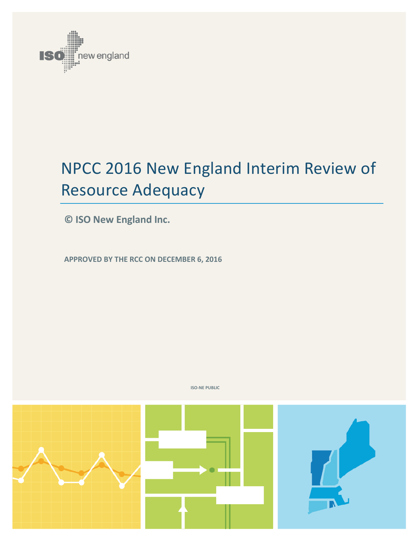

# NPCC 2016 New England Interim Review of Resource Adequacy

**© ISO New England Inc.**

**APPROVED BY THE RCC ON DECEMBER 6, 2016** 



**ISO-NE PUBLIC**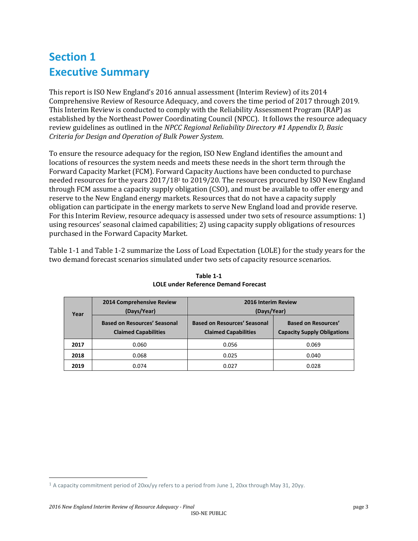## **Section 1 Executive Summary**

This report is ISO New England's 2016 annual assessment (Interim Review) of its 2014 Comprehensive Review of Resource Adequacy, and covers the time period of 2017 through 2019. This Interim Review is conducted to comply with the Reliability Assessment Program (RAP) as established by the Northeast Power Coordinating Council (NPCC). It follows the resource adequacy review guidelines as outlined in the *NPCC Regional Reliability Directory #1 Appendix D, Basic Criteria for Design and Operation of Bulk Power System*.

To ensure the resource adequacy for the region, ISO New England identifies the amount and locations of resources the system needs and meets these needs in the short term through the Forward Capacity Market (FCM). Forward Capacity Auctions have been conducted to purchase needed resources for the years 2017/18<sup>1</sup> to 2019/20. The resources procured by ISO New England through FCM assume a capacity supply obligation (CSO), and must be available to offer energy and reserve to the New England energy markets. Resources that do not have a capacity supply obligation can participate in the energy markets to serve New England load and provide reserve. For this Interim Review, resource adequacy is assessed under two sets of resource assumptions: 1) using resources' seasonal claimed capabilities; 2) using capacity supply obligations of resources purchased in the Forward Capacity Market.

<span id="page-2-0"></span>[Table 1-1](#page-2-0) and Table 1-2 summarize the Loss of Load Expectation (LOLE) for the study years for the two demand forecast scenarios simulated under two sets of capacity resource scenarios.

| Year | 2014 Comprehensive Review<br>(Days/Year)                           | 2016 Interim Review<br>(Days/Year)                                 |                                                                  |  |
|------|--------------------------------------------------------------------|--------------------------------------------------------------------|------------------------------------------------------------------|--|
|      | <b>Based on Resources' Seasonal</b><br><b>Claimed Capabilities</b> | <b>Based on Resources' Seasonal</b><br><b>Claimed Capabilities</b> | <b>Based on Resources'</b><br><b>Capacity Supply Obligations</b> |  |
| 2017 | 0.060                                                              | 0.056                                                              | 0.069                                                            |  |
| 2018 | 0.068                                                              | 0.025                                                              | 0.040                                                            |  |
| 2019 | 0.074                                                              | 0.027                                                              | 0.028                                                            |  |

**Table 1-1 LOLE under Reference Demand Forecast**

 $\overline{\phantom{0}}$ 

<sup>1</sup> A capacity commitment period of 20xx/yy refers to a period from June 1, 20xx through May 31, 20yy.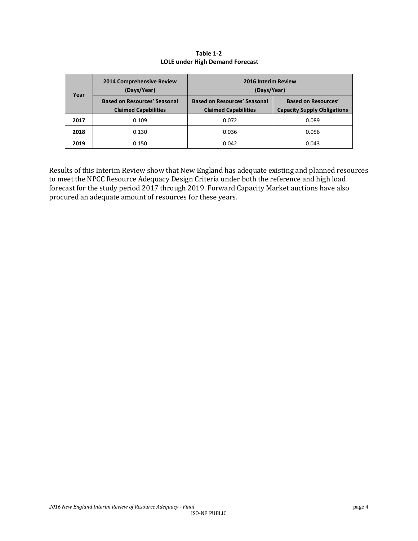| Year | <b>2014 Comprehensive Review</b><br>(Days/Year)                    | 2016 Interim Review<br>(Days/Year)                                 |                                                                  |  |
|------|--------------------------------------------------------------------|--------------------------------------------------------------------|------------------------------------------------------------------|--|
|      | <b>Based on Resources' Seasonal</b><br><b>Claimed Capabilities</b> | <b>Based on Resources' Seasonal</b><br><b>Claimed Capabilities</b> | <b>Based on Resources'</b><br><b>Capacity Supply Obligations</b> |  |
| 2017 | 0.109                                                              | 0.072                                                              | 0.089                                                            |  |
| 2018 | 0.130                                                              | 0.036                                                              | 0.056                                                            |  |
| 2019 | 0.150                                                              | 0.042                                                              | 0.043                                                            |  |

**Table 1-2 LOLE under High Demand Forecast**

Results of this Interim Review show that New England has adequate existing and planned resources to meet the NPCC Resource Adequacy Design Criteria under both the reference and high load forecast for the study period 2017 through 2019. Forward Capacity Market auctions have also procured an adequate amount of resources for these years.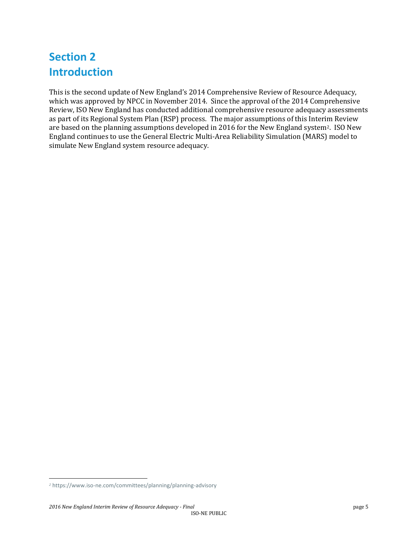## **Section 2 Introduction**

This is the second update of New England's 2014 Comprehensive Review of Resource Adequacy, which was approved by NPCC in November 2014. Since the approval of the 2014 Comprehensive Review, ISO New England has conducted additional comprehensive resource adequacy assessments as part of its Regional System Plan (RSP) process. The major assumptions of this Interim Review are based on the planning assumptions developed in 2016 for the New England system2. ISO New England continues to use the General Electric Multi-Area Reliability Simulation (MARS) model to simulate New England system resource adequacy.

l

*<sup>2</sup>* https://www.iso-ne.com/committees/planning/planning-advisory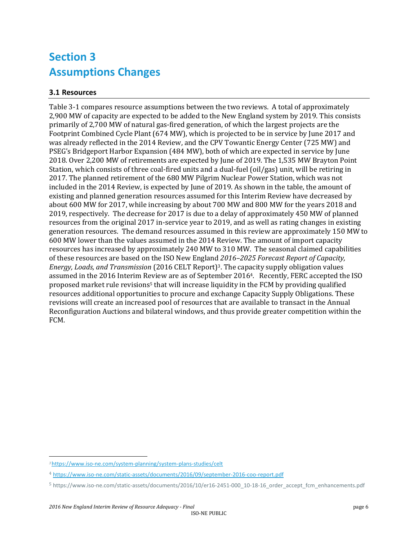## **Section 3 Assumptions Changes**

### **3.1 Resources**

Table 3-1 compares resource assumptions between the two reviews. A total of approximately 2,900 MW of capacity are expected to be added to the New England system by 2019. This consists primarily of 2,700 MW of natural gas-fired generation, of which the largest projects are the Footprint Combined Cycle Plant (674 MW), which is projected to be in service by June 2017 and was already reflected in the 2014 Review, and the CPV Towantic Energy Center (725 MW) and PSEG's Bridgeport Harbor Expansion (484 MW), both of which are expected in service by June 2018. Over 2,200 MW of retirements are expected by June of 2019. The 1,535 MW Brayton Point Station, which consists of three coal-fired units and a dual-fuel (oil/gas) unit, will be retiring in 2017. The planned retirement of the 680 MW Pilgrim Nuclear Power Station, which was not included in the 2014 Review, is expected by June of 2019. As shown in the table, the amount of existing and planned generation resources assumed for this Interim Review have decreased by about 600 MW for 2017, while increasing by about 700 MW and 800 MW for the years 2018 and 2019, respectively. The decrease for 2017 is due to a delay of approximately 450 MW of planned resources from the original 2017 in-service year to 2019, and as well as rating changes in existing generation resources. The demand resources assumed in this review are approximately 150 MW to 600 MW lower than the values assumed in the 2014 Review. The amount of import capacity resources has increased by approximately 240 MW to 310 MW. The seasonal claimed capabilities of these resources are based on the ISO New England *2016–2025 Forecast Report of Capacity, Energy, Loads, and Transmission* (2016 CELT Report)3. The capacity supply obligation values assumed in the 2016 Interim Review are as of September 20164. Recently, FERC accepted the ISO proposed market rule revisions<sup>5</sup> that will increase liquidity in the FCM by providing qualified resources additional opportunities to procure and exchange Capacity Supply Obligations. These revisions will create an increased pool of resources that are available to transact in the Annual Reconfiguration Auctions and bilateral windows, and thus provide greater competition within the FCM.

l

*<sup>3</sup>* <https://www.iso-ne.com/system-planning/system-plans-studies/celt>

<sup>4</sup> <https://www.iso-ne.com/static-assets/documents/2016/09/september-2016-coo-report.pdf>

<sup>5</sup> https://www.iso-ne.com/static-assets/documents/2016/10/er16-2451-000\_10-18-16\_order\_accept\_fcm\_enhancements.pdf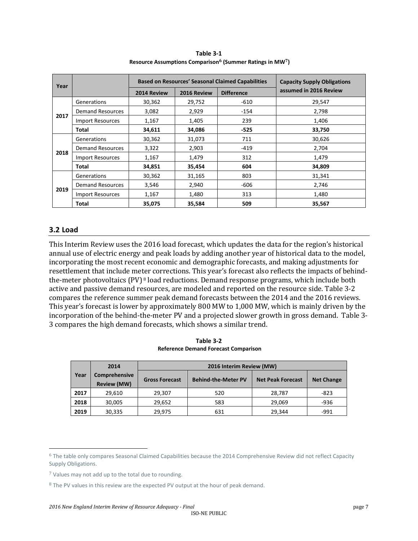| Year |                         |             | <b>Based on Resources' Seasonal Claimed Capabilities</b> | <b>Capacity Supply Obligations</b> |                        |
|------|-------------------------|-------------|----------------------------------------------------------|------------------------------------|------------------------|
|      |                         | 2014 Review | 2016 Review                                              | <b>Difference</b>                  | assumed in 2016 Review |
|      | Generations             | 30,362      | 29,752                                                   | $-610$                             | 29,547                 |
|      | <b>Demand Resources</b> | 3,082       | 2,929                                                    | $-154$                             | 2,798                  |
| 2017 | <b>Import Resources</b> | 1,167       | 1,405                                                    | 239                                | 1,406                  |
|      | Total                   | 34,611      | 34,086                                                   | $-525$                             | 33,750                 |
|      | Generations             | 30,362      | 31,073                                                   | 711                                | 30,626                 |
|      | <b>Demand Resources</b> | 3,322       | 2,903                                                    | $-419$                             | 2,704                  |
| 2018 | <b>Import Resources</b> | 1,167       | 1,479                                                    | 312                                | 1,479                  |
|      | Total                   | 34,851      | 35,454                                                   | 604                                | 34,809                 |
|      | Generations             | 30,362      | 31,165                                                   | 803                                | 31,341                 |
| 2019 | <b>Demand Resources</b> | 3,546       | 2,940                                                    | -606                               | 2,746                  |
|      | <b>Import Resources</b> | 1,167       | 1,480                                                    | 313                                | 1,480                  |
|      | Total                   | 35,075      | 35,584                                                   | 509                                | 35,567                 |

**Table 3-1 Resource Assumptions Comparison<sup>6</sup> (Summer Ratings in MW7)**

#### **3.2 Load**

 $\overline{\phantom{0}}$ 

This Interim Review uses the 2016 load forecast, which updates the data for the region's historical annual use of electric energy and peak loads by adding another year of historical data to the model, incorporating the most recent economic and demographic forecasts, and making adjustments for resettlement that include meter corrections. This year's forecast also reflects the impacts of behindthe-meter photovoltaics (PV) <sup>8</sup> load reductions. Demand response programs, which include both active and passive demand resources, are modeled and reported on the resource side. Table 3-2 compares the reference summer peak demand forecasts between the 2014 and the 2016 reviews. This year's forecast is lower by approximately 800 MW to 1,000 MW, which is mainly driven by the incorporation of the behind-the-meter PV and a projected slower growth in gross demand. Table 3- 3 compares the high demand forecasts, which shows a similar trend.

| Table 3-2                                   |  |  |
|---------------------------------------------|--|--|
| <b>Reference Demand Forecast Comparison</b> |  |  |

|      | 2014                                       | 2016 Interim Review (MW) |                            |                          |                   |
|------|--------------------------------------------|--------------------------|----------------------------|--------------------------|-------------------|
| Year | <b>Comprehensive</b><br><b>Review (MW)</b> | <b>Gross Forecast</b>    | <b>Behind-the-Meter PV</b> | <b>Net Peak Forecast</b> | <b>Net Change</b> |
| 2017 | 29,610                                     | 29,307                   | 520                        | 28,787                   | $-823$            |
| 2018 | 30,005                                     | 29,652                   | 583                        | 29,069                   | -936              |
| 2019 | 30,335                                     | 29.975                   | 631                        | 29,344                   | $-991$            |

 $6$  The table only compares Seasonal Claimed Capabilities because the 2014 Comprehensive Review did not reflect Capacity Supply Obligations.

<sup>7</sup> Values may not add up to the total due to rounding.

<sup>&</sup>lt;sup>8</sup> The PV values in this review are the expected PV output at the hour of peak demand.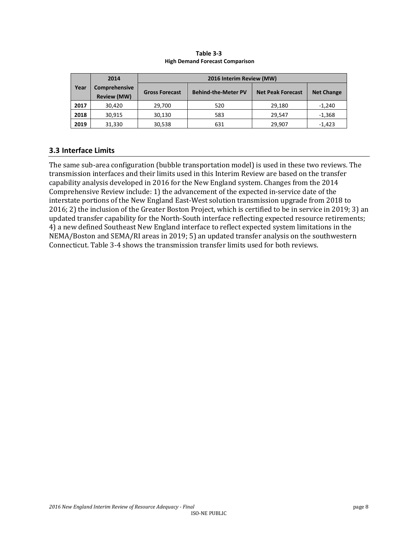|      | 2014                                       | 2016 Interim Review (MW) |                            |                          |                   |
|------|--------------------------------------------|--------------------------|----------------------------|--------------------------|-------------------|
| Year | <b>Comprehensive</b><br><b>Review (MW)</b> | <b>Gross Forecast</b>    | <b>Behind-the-Meter PV</b> | <b>Net Peak Forecast</b> | <b>Net Change</b> |
| 2017 | 30,420                                     | 29.700                   | 520                        | 29.180                   | $-1.240$          |
| 2018 | 30.915                                     | 30.130                   | 583                        | 29.547                   | $-1,368$          |
| 2019 | 31,330                                     | 30,538                   | 631                        | 29,907                   | $-1.423$          |

#### **Table 3-3 High Demand Forecast Comparison**

#### **3.3 Interface Limits**

The same sub-area configuration (bubble transportation model) is used in these two reviews. The transmission interfaces and their limits used in this Interim Review are based on the transfer capability analysis developed in 2016 for the New England system. Changes from the 2014 Comprehensive Review include: 1) the advancement of the expected in-service date of the interstate portions of the New England East-West solution transmission upgrade from 2018 to 2016; 2) the inclusion of the Greater Boston Project, which is certified to be in service in 2019; 3) an updated transfer capability for the North-South interface reflecting expected resource retirements; 4) a new defined Southeast New England interface to reflect expected system limitations in the NEMA/Boston and SEMA/RI areas in 2019; 5) an updated transfer analysis on the southwestern Connecticut. Table 3-4 shows the transmission transfer limits used for both reviews.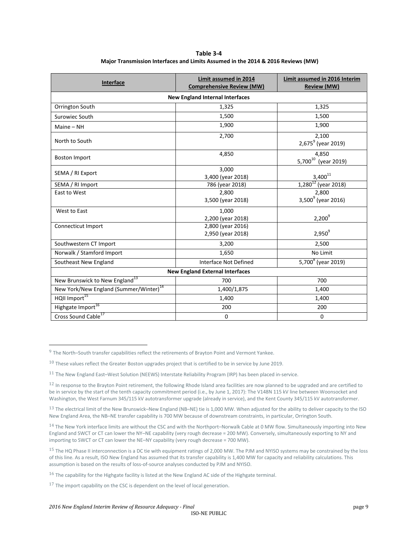| Table 3-4                                                                        |
|----------------------------------------------------------------------------------|
| Major Transmission Interfaces and Limits Assumed in the 2014 & 2016 Reviews (MW) |

| <b>Interface</b>                                   | Limit assumed in 2014<br><b>Comprehensive Review (MW)</b> | Limit assumed in 2016 Interim<br><b>Review (MW)</b> |  |  |  |
|----------------------------------------------------|-----------------------------------------------------------|-----------------------------------------------------|--|--|--|
| <b>New England Internal Interfaces</b>             |                                                           |                                                     |  |  |  |
| Orrington South                                    | 1,325                                                     | 1,325                                               |  |  |  |
| Surowiec South                                     | 1,500                                                     | 1,500                                               |  |  |  |
| $Maine - NH$                                       | 1,900                                                     | 1,900                                               |  |  |  |
| North to South                                     | 2,700                                                     | 2,100<br>2,675 <sup>9</sup> (year 2019)             |  |  |  |
| <b>Boston Import</b>                               | 4,850                                                     | 4,850<br>5,700 <sup>10</sup> (year 2019)            |  |  |  |
| SEMA / RI Export                                   | 3,000<br>3,400 (year 2018)                                | $3,400^{11}$                                        |  |  |  |
| SEMA / RI Import                                   | 786 (year 2018)                                           | $1,280^{12}$ (year 2018)                            |  |  |  |
| East to West                                       | 2,800<br>3,500 (year 2018)                                | 2,800<br>$3,500^9$ (year 2016)                      |  |  |  |
| West to East                                       | 1,000<br>2,200 (year 2018)                                | $2,200^9$                                           |  |  |  |
| Connecticut Import                                 | 2,800 (year 2016)<br>2,950 (year 2018)                    | $2,950^9$                                           |  |  |  |
| Southwestern CT Import                             | 3,200                                                     | 2,500                                               |  |  |  |
| Norwalk / Stamford Import                          | 1,650                                                     | No Limit                                            |  |  |  |
| Southeast New England                              | Interface Not Defined                                     | 5,700 <sup>8</sup> (year 2019)                      |  |  |  |
| <b>New England External Interfaces</b>             |                                                           |                                                     |  |  |  |
| New Brunswick to New England <sup>13</sup>         | 700                                                       | 700                                                 |  |  |  |
| New York/New England (Summer/Winter) <sup>14</sup> | 1,400/1,875                                               | 1,400                                               |  |  |  |
| HQII Import <sup>15</sup>                          | 1,400                                                     | 1,400                                               |  |  |  |
| Highgate Import <sup>16</sup>                      | 200                                                       | 200                                                 |  |  |  |
| Cross Sound Cable <sup>17</sup>                    | 0                                                         | 0                                                   |  |  |  |

l

<sup>&</sup>lt;sup>9</sup> The North–South transfer capabilities reflect the retirements of Brayton Point and Vermont Yankee.

 $10$  These values reflect the Greater Boston upgrades project that is certified to be in service by June 2019.

<sup>11</sup> The New England East–West Solution (NEEWS) Interstate Reliability Program (IRP) has been placed in-service.

 $12$  In response to the Brayton Point retirement, the following Rhode Island area facilities are now planned to be upgraded and are certified to be in service by the start of the tenth capacity commitment period (i.e., by June 1, 2017): The V148N 115 kV line between Woonsocket and Washington, the West Farnum 345/115 kV autotransformer upgrade (already in service), and the Kent County 345/115 kV autotransformer.

<sup>&</sup>lt;sup>13</sup> The electrical limit of the New Brunswick–New England (NB–NE) tie is 1,000 MW. When adjusted for the ability to deliver capacity to the ISO New England Area, the NB–NE transfer capability is 700 MW because of downstream constraints, in particular, Orrington South.

<sup>14</sup> The New York interface limits are without the CSC and with the Northport–Norwalk Cable at 0 MW flow. Simultaneously importing into New England and SWCT or CT can lower the NY–NE capability (very rough decrease = 200 MW). Conversely, simultaneously exporting to NY and importing to SWCT or CT can lower the NE–NY capability (very rough decrease = 700 MW).

<sup>&</sup>lt;sup>15</sup> The HQ Phase II interconnection is a DC tie with equipment ratings of 2,000 MW. The PJM and NYISO systems may be constrained by the loss of this line. As a result, ISO New England has assumed that its transfer capability is 1,400 MW for capacity and reliability calculations. This assumption is based on the results of loss-of-source analyses conducted by PJM and NYISO.

<sup>16</sup> The capability for the Highgate facility is listed at the New England AC side of the Highgate terminal.

 $17$  The import capability on the CSC is dependent on the level of local generation.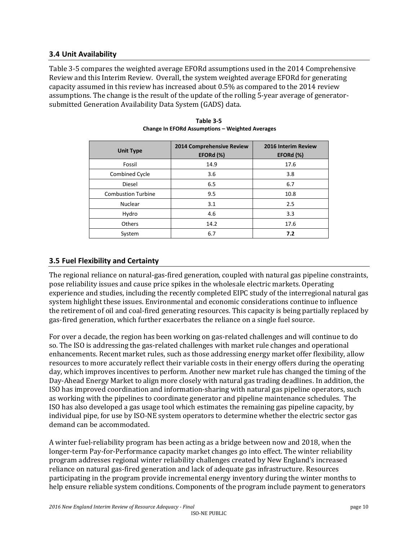#### **3.4 Unit Availability**

Table 3-5 compares the weighted average EFORd assumptions used in the 2014 Comprehensive Review and this Interim Review. Overall, the system weighted average EFORd for generating capacity assumed in this review has increased about 0.5% as compared to the 2014 review assumptions. The change is the result of the update of the rolling 5-year average of generatorsubmitted Generation Availability Data System (GADS) data.

| <b>Unit Type</b>          | 2014 Comprehensive Review<br>EFORd (%) | 2016 Interim Review<br>EFORd (%) |
|---------------------------|----------------------------------------|----------------------------------|
| Fossil                    | 14.9                                   | 17.6                             |
| Combined Cycle            | 3.6                                    | 3.8                              |
| Diesel                    | 6.5                                    | 6.7                              |
| <b>Combustion Turbine</b> | 9.5                                    | 10.8                             |
| <b>Nuclear</b>            | 3.1                                    | 2.5                              |
| Hydro                     | 4.6                                    | 3.3                              |
| Others                    | 14.2                                   | 17.6                             |
| System                    | 6.7                                    | 7.2                              |

| Table 3-5                                              |
|--------------------------------------------------------|
| <b>Change In EFORd Assumptions - Weighted Averages</b> |

#### **3.5 Fuel Flexibility and Certainty**

The regional reliance on natural-gas-fired generation, coupled with natural gas pipeline constraints, pose reliability issues and cause price spikes in the wholesale electric markets. Operating experience and studies, including the recently completed EIPC study of the interregional natural gas system highlight these issues. Environmental and economic considerations continue to influence the retirement of oil and coal-fired generating resources. This capacity is being partially replaced by gas-fired generation, which further exacerbates the reliance on a single fuel source.

For over a decade, the region has been working on gas-related challenges and will continue to do so. The ISO is addressing the gas-related challenges with market rule changes and operational enhancements. Recent market rules, such as those addressing energy market offer flexibility, allow resources to more accurately reflect their variable costs in their energy offers during the operating day, which improves incentives to perform. Another new market rule has changed the timing of the Day-Ahead Energy Market to align more closely with natural gas trading deadlines. In addition, the ISO has improved coordination and information-sharing with natural gas pipeline operators, such as working with the pipelines to coordinate generator and pipeline maintenance schedules. The ISO has also developed a gas usage tool which estimates the remaining gas pipeline capacity, by individual pipe, for use by ISO-NE system operators to determine whether the electric sector gas demand can be accommodated.

A winter fuel-reliability program has been acting as a bridge between now and 2018, when the longer-term Pay-for-Performance capacity market changes go into effect. The winter reliability program addresses regional winter reliability challenges created by New England's increased reliance on natural gas-fired generation and lack of adequate gas infrastructure. Resources participating in the program provide incremental energy inventory during the winter months to help ensure reliable system conditions. Components of the program include payment to generators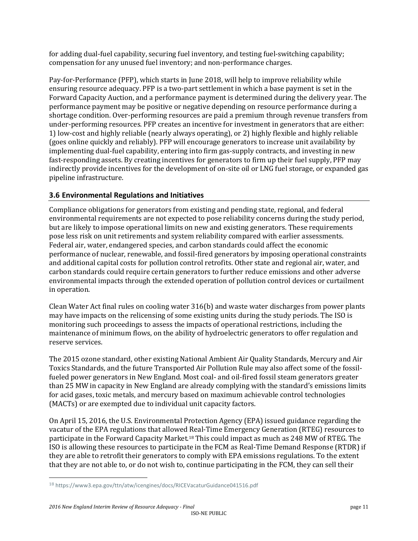for adding dual-fuel capability, securing fuel inventory, and testing fuel-switching capability; compensation for any unused fuel inventory; and non-performance charges.

Pay-for-Performance (PFP), which starts in June 2018, will help to improve reliability while ensuring resource adequacy. PFP is a two-part settlement in which a base payment is set in the Forward Capacity Auction, and a performance payment is determined during the delivery year. The performance payment may be positive or negative depending on resource performance during a shortage condition. Over-performing resources are paid a premium through revenue transfers from under-performing resources. PFP creates an incentive for investment in generators that are either: 1) low-cost and highly reliable (nearly always operating), or 2) highly flexible and highly reliable (goes online quickly and reliably). PFP will encourage generators to increase unit availability by implementing dual-fuel capability, entering into firm gas-supply contracts, and investing in new fast-responding assets. By creating incentives for generators to firm up their fuel supply, PFP may indirectly provide incentives for the development of on-site oil or LNG fuel storage, or expanded gas pipeline infrastructure.

### **3.6 Environmental Regulations and Initiatives**

Compliance obligations for generators from existing and pending state, regional, and federal environmental requirements are not expected to pose reliability concerns during the study period, but are likely to impose operational limits on new and existing generators. These requirements pose less risk on unit retirements and system reliability compared with earlier assessments. Federal air, water, endangered species, and carbon standards could affect the economic performance of nuclear, renewable, and fossil-fired generators by imposing operational constraints and additional capital costs for pollution control retrofits. Other state and regional air, water, and carbon standards could require certain generators to further reduce emissions and other adverse environmental impacts through the extended operation of pollution control devices or curtailment in operation.

Clean Water Act final rules on cooling water 316(b) and waste water discharges from power plants may have impacts on the relicensing of some existing units during the study periods. The ISO is monitoring such proceedings to assess the impacts of operational restrictions, including the maintenance of minimum flows, on the ability of hydroelectric generators to offer regulation and reserve services.

The 2015 ozone standard, other existing National Ambient Air Quality Standards, Mercury and Air Toxics Standards, and the future Transported Air Pollution Rule may also affect some of the fossilfueled power generators in New England. Most coal- and oil-fired fossil steam generators greater than 25 MW in capacity in New England are already complying with the standard's emissions limits for acid gases, toxic metals, and mercury based on maximum achievable control technologies (MACTs) or are exempted due to individual unit capacity factors.

On April 15, 2016, the U.S. Environmental Protection Agency (EPA) issued guidance regarding the vacatur of the EPA regulations that allowed Real-Time Emergency Generation (RTEG) resources to participate in the Forward Capacity Market.<sup>18</sup> This could impact as much as 248 MW of RTEG. The ISO is allowing these resources to participate in the FCM as Real-Time Demand Response (RTDR) if they are able to retrofit their generators to comply with EPA emissions regulations. To the extent that they are not able to, or do not wish to, continue participating in the FCM, they can sell their

 $\overline{\phantom{0}}$ 

<sup>18</sup> https://www3.epa.gov/ttn/atw/icengines/docs/RICEVacaturGuidance041516.pdf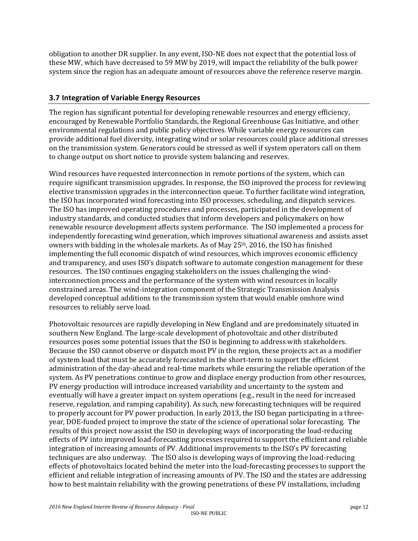obligation to another DR supplier. In any event, ISO-NE does not expect that the potential loss of these MW, which have decreased to 59 MW by 2019, will impact the reliability of the bulk power system since the region has an adequate amount of resources above the reference reserve margin.

#### **3.7 Integration of Variable Energy Resources**

The region has significant potential for developing renewable resources and energy efficiency, encouraged by Renewable Portfolio Standards, the Regional Greenhouse Gas Initiative, and other environmental regulations and public policy objectives. While variable energy resources can provide additional fuel diversity, integrating wind or solar resources could place additional stresses on the transmission system. Generators could be stressed as well if system operators call on them to change output on short notice to provide system balancing and reserves.

Wind resources have requested interconnection in remote portions of the system, which can require significant transmission upgrades. In response, the ISO improved the process for reviewing elective transmission upgrades in the interconnection queue. To further facilitate wind integration, the ISO has incorporated wind forecasting into ISO processes, scheduling, and dispatch services. The ISO has improved operating procedures and processes, participated in the development of industry standards, and conducted studies that inform developers and policymakers on how renewable resource development affects system performance. The ISO implemented a process for independently forecasting wind generation, which improves situational awareness and assists asset owners with bidding in the wholesale markets. As of May 25th, 2016, the ISO has finished implementing the full economic dispatch of wind resources, which improves economic efficiency and transparency, and uses ISO's dispatch software to automate congestion management for these resources. The ISO continues engaging stakeholders on the issues challenging the windinterconnection process and the performance of the system with wind resources in locally constrained areas. The wind-integration component of the Strategic Transmission Analysis developed conceptual additions to the transmission system that would enable onshore wind resources to reliably serve load.

Photovoltaic resources are rapidly developing in New England and are predominately situated in southern New England. The large-scale development of photovoltaic and other distributed resources poses some potential issues that the ISO is beginning to address with stakeholders. Because the ISO cannot observe or dispatch most PV in the region, these projects act as a modifier of system load that must be accurately forecasted in the short-term to support the efficient administration of the day-ahead and real-time markets while ensuring the reliable operation of the system. As PV penetrations continue to grow and displace energy production from other resources, PV energy production will introduce increased variability and uncertainty to the system and eventually will have a greater impact on system operations (e.g., result in the need for increased reserve, regulation, and ramping capability). As such, new forecasting techniques will be required to properly account for PV power production. In early 2013, the ISO began participating in a threeyear, DOE-funded project to improve the state of the science of operational solar forecasting. The results of this project now assist the ISO in developing ways of incorporating the load-reducing effects of PV into improved load-forecasting processes required to support the efficient and reliable integration of increasing amounts of PV. Additional improvements to the ISO's PV forecasting techniques are also underway. The ISO also is developing ways of improving the load-reducing effects of photovoltaics located behind the meter into the load-forecasting processes to support the efficient and reliable integration of increasing amounts of PV. The ISO and the states are addressing how to best maintain reliability with the growing penetrations of these PV installations, including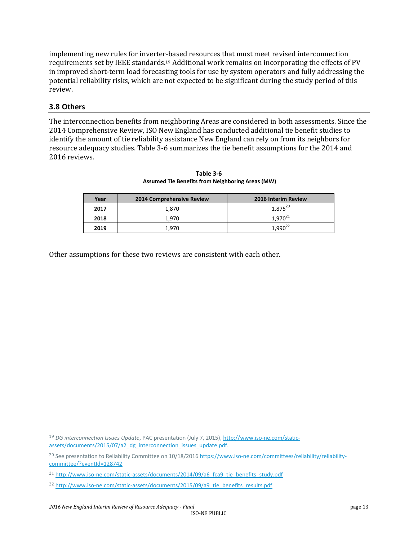implementing new rules for inverter-based resources that must meet revised interconnection requirements set by IEEE standards.<sup>19</sup> Additional work remains on incorporating the effects of PV in improved short-term load forecasting tools for use by system operators and fully addressing the potential reliability risks, which are not expected to be significant during the study period of this review.

#### **3.8 Others**

 $\overline{\phantom{0}}$ 

The interconnection benefits from neighboring Areas are considered in both assessments. Since the 2014 Comprehensive Review, ISO New England has conducted additional tie benefit studies to identify the amount of tie reliability assistance New England can rely on from its neighbors for resource adequacy studies. Table 3-6 summarizes the tie benefit assumptions for the 2014 and 2016 reviews.

| Year | <b>2014 Comprehensive Review</b> | 2016 Interim Review |
|------|----------------------------------|---------------------|
| 2017 | 1.870                            | $1,875^{20}$        |
| 2018 | 1.970                            | $1,970^{21}$        |
| 2019 | 1.970                            | 1.990               |

**Table 3-6 Assumed Tie Benefits from Neighboring Areas (MW)**

Other assumptions for these two reviews are consistent with each other.

<sup>19</sup> *DG interconnection Issues Update*, PAC presentation (July 7, 2015), [http://www.iso-ne.com/static](http://www.iso-ne.com/static-assets/documents/2015/07/a2_dg_interconnection_issues_update.pdf)[assets/documents/2015/07/a2\\_dg\\_interconnection\\_issues\\_update.pdf.](http://www.iso-ne.com/static-assets/documents/2015/07/a2_dg_interconnection_issues_update.pdf)

<sup>&</sup>lt;sup>20</sup> See presentation to Reliability Committee on 10/18/2016 [https://www.iso-ne.com/committees/reliability/reliability](https://www.iso-ne.com/committees/reliability/reliability-committee/?eventId=128742)[committee/?eventId=128742](https://www.iso-ne.com/committees/reliability/reliability-committee/?eventId=128742)

<sup>&</sup>lt;sup>21</sup> [http://www.iso-ne.com/static-assets/documents/2014/09/a6\\_fca9\\_tie\\_benefits\\_study.pdf](http://www.iso-ne.com/static-assets/documents/2014/09/a6_fca9_tie_benefits_study.pdf)

<sup>&</sup>lt;sup>22</sup> [http://www.iso-ne.com/static-assets/documents/2015/09/a9\\_tie\\_benefits\\_results.pdf](http://www.iso-ne.com/committees/comm_wkgrps/relblty_comm/pwrsuppln_comm/mtrls/2012/jun142012/2016_fca_tie_benefits_study.pdf)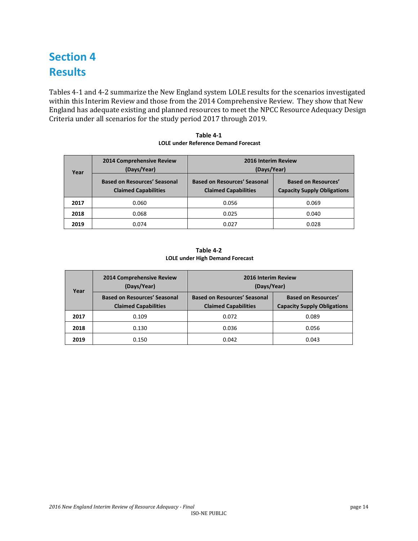# **Section 4 Results**

Tables 4-1 and 4-2 summarize the New England system LOLE results for the scenarios investigated within this Interim Review and those from the 2014 Comprehensive Review. They show that New England has adequate existing and planned resources to meet the NPCC Resource Adequacy Design Criteria under all scenarios for the study period 2017 through 2019.

| Year | <b>2014 Comprehensive Review</b><br>(Days/Year)                    | 2016 Interim Review<br>(Days/Year)                                 |                                                                  |  |
|------|--------------------------------------------------------------------|--------------------------------------------------------------------|------------------------------------------------------------------|--|
|      | <b>Based on Resources' Seasonal</b><br><b>Claimed Capabilities</b> | <b>Based on Resources' Seasonal</b><br><b>Claimed Capabilities</b> | <b>Based on Resources'</b><br><b>Capacity Supply Obligations</b> |  |
| 2017 | 0.060                                                              | 0.056                                                              | 0.069                                                            |  |
| 2018 | 0.068                                                              | 0.025                                                              | 0.040                                                            |  |
| 2019 | 0.074                                                              | 0.027                                                              | 0.028                                                            |  |

**Table 4-1 LOLE under Reference Demand Forecast**

| Table 4-2                              |  |  |  |
|----------------------------------------|--|--|--|
| <b>LOLE under High Demand Forecast</b> |  |  |  |

| Year | 2014 Comprehensive Review<br>(Days/Year)                           | 2016 Interim Review<br>(Days/Year)                                 |                                                                  |
|------|--------------------------------------------------------------------|--------------------------------------------------------------------|------------------------------------------------------------------|
|      | <b>Based on Resources' Seasonal</b><br><b>Claimed Capabilities</b> | <b>Based on Resources' Seasonal</b><br><b>Claimed Capabilities</b> | <b>Based on Resources'</b><br><b>Capacity Supply Obligations</b> |
| 2017 | 0.109                                                              | 0.072                                                              | 0.089                                                            |
| 2018 | 0.130                                                              | 0.036                                                              | 0.056                                                            |
| 2019 | 0.150                                                              | 0.042                                                              | 0.043                                                            |